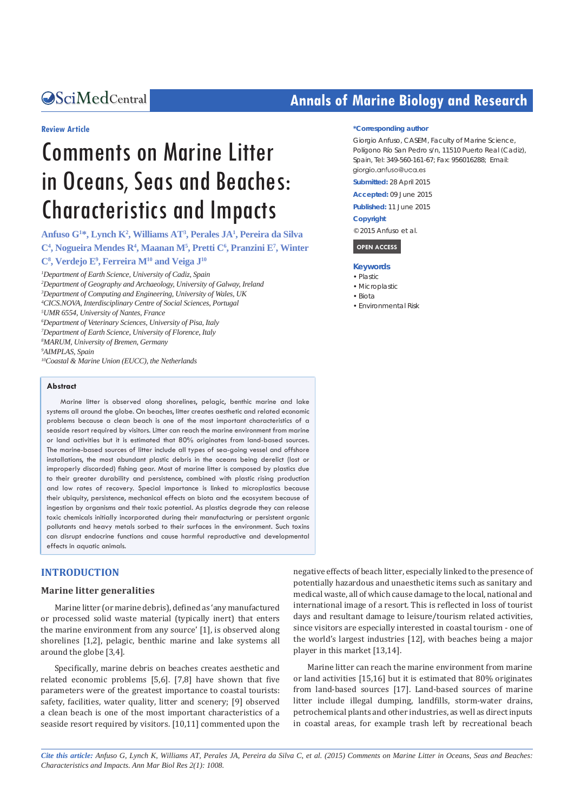#### **Review Article**

# Comments on Marine Litter in Oceans, Seas and Beaches: Characteristics and Impacts

**Anfuso G1 \*, Lynch K2 , Williams AT3 , Perales JA1 , Pereira da Silva C4 , Nogueira Mendes R4 , Maanan M5 , Pretti C6 , Pranzini E7 , Winter**   $C^8$ , Verdejo E<sup>9</sup>, Ferreira M<sup>10</sup> and Veiga J<sup>10</sup> *1 Department of Earth Science, University of Cadiz, Spain*

 *Department of Geography and Archaeology, University of Galway, Ireland Department of Computing and Engineering, University of Wales, UK CICS.NOVA, Interdisciplinary Centre of Social Sciences, Portugal UMR 6554, University of Nantes, France Department of Veterinary Sciences, University of Pisa, Italy Department of Earth Science, University of Florence, Italy MARUM, University of Bremen, Germany AIMPLAS, Spain 10Coastal & Marine Union (EUCC), the Netherlands*

#### **Abstract**

Marine litter is observed along shorelines, pelagic, benthic marine and lake systems all around the globe. On beaches, litter creates aesthetic and related economic problems because a clean beach is one of the most important characteristics of a seaside resort required by visitors. Litter can reach the marine environment from marine or land activities but it is estimated that 80% originates from land-based sources. The marine-based sources of litter include all types of sea-going vessel and offshore installations, the most abundant plastic debris in the oceans being derelict (lost or improperly discarded) fishing gear. Most of marine litter is composed by plastics due to their greater durability and persistence, combined with plastic rising production and low rates of recovery. Special importance is linked to microplastics because their ubiquity, persistence, mechanical effects on biota and the ecosystem because of ingestion by organisms and their toxic potential. As plastics degrade they can release toxic chemicals initially incorporated during their manufacturing or persistent organic pollutants and heavy metals sorbed to their surfaces in the environment. Such toxins can disrupt endocrine functions and cause harmful reproductive and developmental effects in aquatic animals.

#### **INTRODUCTION**

#### **Marine litter generalities**

Marine litter (or marine debris), defined as 'any manufactured or processed solid waste material (typically inert) that enters the marine environment from any source' [1], is observed along shorelines [1,2], pelagic, benthic marine and lake systems all around the globe [3,4].

Specifically, marine debris on beaches creates aesthetic and related economic problems [5,6]. [7,8] have shown that five parameters were of the greatest importance to coastal tourists: safety, facilities, water quality, litter and scenery; [9] observed a clean beach is one of the most important characteristics of a seaside resort required by visitors. [10,11] commented upon the

## **CALCED Annals of Marine Biology and Research CALCED Annals of Marine Biology and Research**

#### **\*Corresponding author**

Giorgio Anfuso, CASEM, Faculty of Marine Science, Polígono Río San Pedro s/n, 11510 Puerto Real (Cadiz), Spain, Tel: 349-560-161-67; Fax: 956016288; Email: giorgio.anfuso@uca.es

**Submitted:** 28 April 2015

**Accepted:** 09 June 2015

**Published:** 11 June 2015

#### **Copyright**

© 2015 Anfuso et al.

 **OPEN ACCESS** 

#### **Keywords**

- • Plastic
- • Microplastic
- • Biota
- • Environmental Risk

negative effects of beach litter, especially linked to the presence of potentially hazardous and unaesthetic items such as sanitary and medical waste, all of which cause damage to the local, national and international image of a resort. This is reflected in loss of tourist days and resultant damage to leisure/tourism related activities, since visitors are especially interested in coastal tourism - one of the world's largest industries [12], with beaches being a major player in this market [13,14].

Marine litter can reach the marine environment from marine or land activities [15,16] but it is estimated that 80% originates from land-based sources [17]. Land-based sources of marine litter include illegal dumping, landfills, storm-water drains, petrochemical plants and other industries, as well as direct inputs in coastal areas, for example trash left by recreational beach

*Cite this article: Anfuso G, Lynch K, Williams AT, Perales JA, Pereira da Silva C, et al. (2015) Comments on Marine Litter in Oceans, Seas and Beaches: Characteristics and Impacts. Ann Mar Biol Res 2(1): 1008.*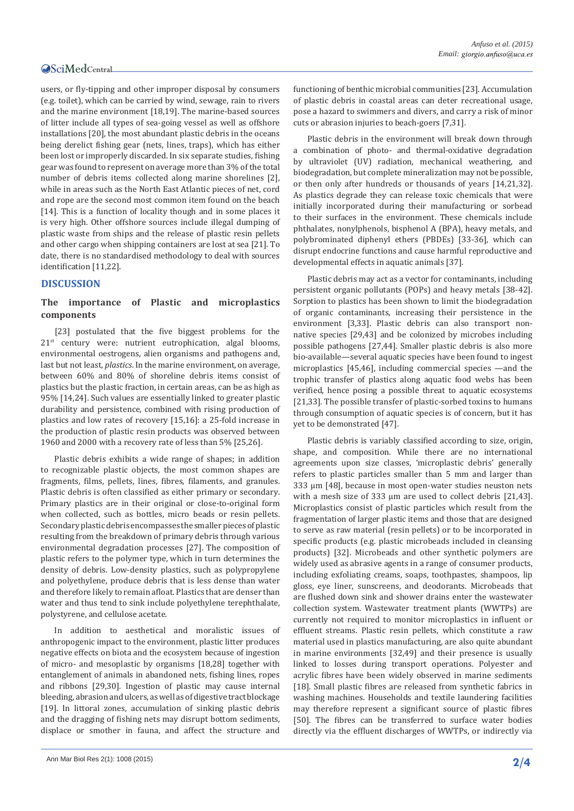### **OSciMedCentral**

users, or fly-tipping and other improper disposal by consumers (e.g. toilet), which can be carried by wind, sewage, rain to rivers and the marine environment [18,19]. The marine-based sources of litter include all types of sea-going vessel as well as offshore installations [20], the most abundant plastic debris in the oceans being derelict fishing gear (nets, lines, traps), which has either been lost or improperly discarded. In six separate studies, fishing gear was found to represent on average more than 3% of the total number of debris items collected along marine shorelines [2], while in areas such as the North East Atlantic pieces of net, cord and rope are the second most common item found on the beach [14]. This is a function of locality though and in some places it is very high. Other offshore sources include illegal dumping of plastic waste from ships and the release of plastic resin pellets and other cargo when shipping containers are lost at sea [21]. To date, there is no standardised methodology to deal with sources identification [11,22].

#### **DISCUSSION**

#### **The importance of Plastic and microplastics components**

[23] postulated that the five biggest problems for the 21<sup>st</sup> century were: nutrient eutrophication, algal blooms, environmental oestrogens, alien organisms and pathogens and, last but not least, *plastics*. In the marine environment, on average, between 60% and 80% of shoreline debris items consist of plastics but the plastic fraction, in certain areas, can be as high as 95% [14,24]. Such values are essentially linked to greater plastic durability and persistence, combined with rising production of plastics and low rates of recovery [15,16]: a 25-fold increase in the production of plastic resin products was observed between 1960 and 2000 with a recovery rate of less than 5% [25,26].

Plastic debris exhibits a wide range of shapes; in addition to recognizable plastic objects, the most common shapes are fragments, films, pellets, lines, fibres, filaments, and granules. Plastic debris is often classified as either primary or secondary. Primary plastics are in their original or close-to-original form when collected, such as bottles, micro beads or resin pellets. Secondary plastic debris encompasses the smaller pieces of plastic resulting from the breakdown of primary debris through various environmental degradation processes [27]. The composition of plastic refers to the polymer type, which in turn determines the density of debris. Low-density plastics, such as polypropylene and polyethylene, produce debris that is less dense than water and therefore likely to remain afloat. Plastics that are denser than water and thus tend to sink include polyethylene terephthalate, polystyrene, and cellulose acetate.

In addition to aesthetical and moralistic issues of anthropogenic impact to the environment, plastic litter produces negative effects on biota and the ecosystem because of ingestion of micro- and mesoplastic by organisms [18,28] together with entanglement of animals in abandoned nets, fishing lines, ropes and ribbons [29,30]. Ingestion of plastic may cause internal bleeding, abrasion and ulcers, as well as of digestive tract blockage [19]. In littoral zones, accumulation of sinking plastic debris and the dragging of fishing nets may disrupt bottom sediments, displace or smother in fauna, and affect the structure and

functioning of benthic microbial communities [23]. Accumulation of plastic debris in coastal areas can deter recreational usage, pose a hazard to swimmers and divers, and carry a risk of minor cuts or abrasion injuries to beach-goers [7,31].

Plastic debris in the environment will break down through a combination of photo- and thermal-oxidative degradation by ultraviolet (UV) radiation, mechanical weathering, and biodegradation, but complete mineralization may not be possible, or then only after hundreds or thousands of years [14,21,32]. As plastics degrade they can release toxic chemicals that were initially incorporated during their manufacturing or sorbead to their surfaces in the environment. These chemicals include phthalates, nonylphenols, bisphenol A (BPA), heavy metals, and polybrominated diphenyl ethers (PBDEs) [33-36], which can disrupt endocrine functions and cause harmful reproductive and developmental effects in aquatic animals [37].

Plastic debris may act as a vector for contaminants, including persistent organic pollutants (POPs) and heavy metals [38-42]. Sorption to plastics has been shown to limit the biodegradation of organic contaminants, increasing their persistence in the environment [3,33]. Plastic debris can also transport nonnative species [29,43] and be colonized by microbes including possible pathogens [27,44]. Smaller plastic debris is also more bio-available—several aquatic species have been found to ingest microplastics [45,46], including commercial species —and the trophic transfer of plastics along aquatic food webs has been verified, hence posing a possible threat to aquatic ecosystems [21,33]. The possible transfer of plastic-sorbed toxins to humans through consumption of aquatic species is of concern, but it has yet to be demonstrated [47].

Plastic debris is variably classified according to size, origin, shape, and composition. While there are no international agreements upon size classes, 'microplastic debris' generally refers to plastic particles smaller than 5 mm and larger than 333 μm [48], because in most open-water studies neuston nets with a mesh size of 333 μm are used to collect debris [21,43]. Microplastics consist of plastic particles which result from the fragmentation of larger plastic items and those that are designed to serve as raw material (resin pellets) or to be incorporated in specific products (e.g. plastic microbeads included in cleansing products) [32]. Microbeads and other synthetic polymers are widely used as abrasive agents in a range of consumer products, including exfoliating creams, soaps, toothpastes, shampoos, lip gloss, eye liner, sunscreens, and deodorants. Microbeads that are flushed down sink and shower drains enter the wastewater collection system. Wastewater treatment plants (WWTPs) are currently not required to monitor microplastics in influent or effluent streams. Plastic resin pellets, which constitute a raw material used in plastics manufacturing, are also quite abundant in marine environments [32,49] and their presence is usually linked to losses during transport operations. Polyester and acrylic fibres have been widely observed in marine sediments [18]. Small plastic fibres are released from synthetic fabrics in washing machines. Households and textile laundering facilities may therefore represent a significant source of plastic fibres [50]. The fibres can be transferred to surface water bodies directly via the effluent discharges of WWTPs, or indirectly via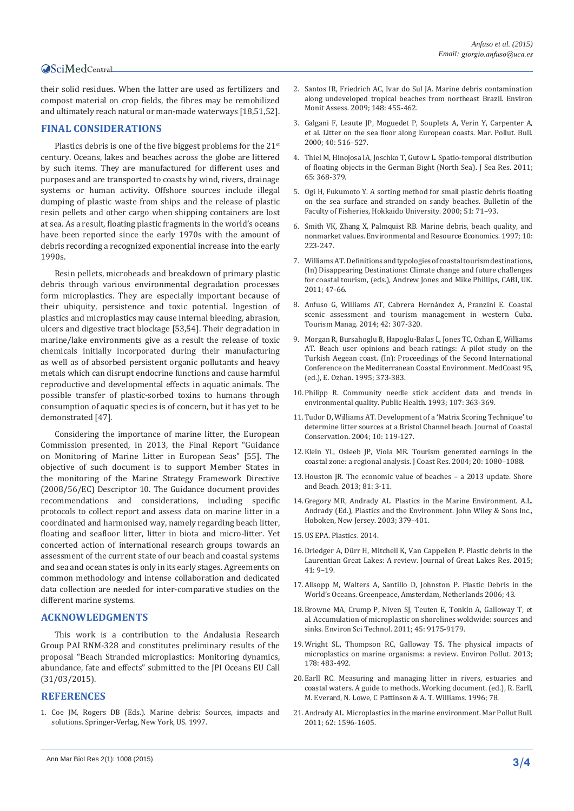#### **OSciMedCentral**

their solid residues. When the latter are used as fertilizers and compost material on crop fields, the fibres may be remobilized and ultimately reach natural or man-made waterways [18,51,52].

#### **FINAL CONSIDERATIONS**

Plastics debris is one of the five biggest problems for the 21<sup>st</sup> century. Oceans, lakes and beaches across the globe are littered by such items. They are manufactured for different uses and purposes and are transported to coasts by wind, rivers, drainage systems or human activity. Offshore sources include illegal dumping of plastic waste from ships and the release of plastic resin pellets and other cargo when shipping containers are lost at sea. As a result, floating plastic fragments in the world's oceans have been reported since the early 1970s with the amount of debris recording a recognized exponential increase into the early 1990s.

Resin pellets, microbeads and breakdown of primary plastic debris through various environmental degradation processes form microplastics. They are especially important because of their ubiquity, persistence and toxic potential. Ingestion of plastics and microplastics may cause internal bleeding, abrasion, ulcers and digestive tract blockage [53,54]. Their degradation in marine/lake environments give as a result the release of toxic chemicals initially incorporated during their manufacturing as well as of absorbed persistent organic pollutants and heavy metals which can disrupt endocrine functions and cause harmful reproductive and developmental effects in aquatic animals. The possible transfer of plastic-sorbed toxins to humans through consumption of aquatic species is of concern, but it has yet to be demonstrated [47].

Considering the importance of marine litter, the European Commission presented, in 2013, the Final Report "Guidance on Monitoring of Marine Litter in European Seas" [55]. The objective of such document is to support Member States in the monitoring of the Marine Strategy Framework Directive (2008/56/EC) Descriptor 10. The Guidance document provides recommendations and considerations, including specific protocols to collect report and assess data on marine litter in a coordinated and harmonised way, namely regarding beach litter, floating and seafloor litter, litter in biota and micro-litter. Yet concerted action of international research groups towards an assessment of the current state of our beach and coastal systems and sea and ocean states is only in its early stages. Agreements on common methodology and intense collaboration and dedicated data collection are needed for inter-comparative studies on the different marine systems.

#### **ACKNOWLEDGMENTS**

This work is a contribution to the Andalusia Research Group PAI RNM-328 and constitutes preliminary results of the proposal "Beach Stranded microplastics: Monitoring dynamics, abundance, fate and effects" submitted to the JPI Oceans EU Call (31/03/2015).

#### **REFERENCES**

1. [Coe JM, Rogers DB \(Eds.\). Marine debris: Sources, impacts and](http://www.springer.com/gp/book/9781461384885)  [solutions. Springer-Verlag, New York, US. 1997.](http://www.springer.com/gp/book/9781461384885)

- 2. [Santos IR, Friedrich AC, Ivar do Sul JA. Marine debris contamination](http://www.ncbi.nlm.nih.gov/pubmed/18256899)  [along undeveloped tropical beaches from northeast Brazil. Environ](http://www.ncbi.nlm.nih.gov/pubmed/18256899)  [Monit Assess. 2009; 148: 455-462.](http://www.ncbi.nlm.nih.gov/pubmed/18256899)
- 3. [Galgani F, Leaute JP, Moguedet P, Souplets A, Verin Y, Carpenter A,](http://www.sciencedirect.com/science/article/pii/S0025326X99002349)  [et al. Litter on the sea floor along European coasts. Mar. Pollut. Bull.](http://www.sciencedirect.com/science/article/pii/S0025326X99002349)  [2000; 40: 516–527.](http://www.sciencedirect.com/science/article/pii/S0025326X99002349)
- 4. [Thiel M, Hinojosa IA, Joschko T, Gutow L. Spatio-temporal distribution](http://www.sciencedirect.com/science/article/pii/S1385110111000220)  [of floating objects in the German Bight \(North Sea\). J Sea Res. 2011;](http://www.sciencedirect.com/science/article/pii/S1385110111000220)  [65: 368-379.](http://www.sciencedirect.com/science/article/pii/S1385110111000220)
- 5. [Ogi H, Fukumoto Y. A sorting method for small plastic debris floating](http://agris.fao.org/agris-search/search.do?recordID=JP2001000319)  [on the sea surface and stranded on sandy beaches. Bulletin of the](http://agris.fao.org/agris-search/search.do?recordID=JP2001000319)  [Faculty of Fisheries, Hokkaido University. 2000; 51: 71–93.](http://agris.fao.org/agris-search/search.do?recordID=JP2001000319)
- 6. [Smith VK, Zhang X, Palmquist RB. Marine debris, beach quality, and](http://link.springer.com/article/10.1023%2FA%3A1026465413899)  [nonmarket values. Environmental and Resource Economics. 1997; 10:](http://link.springer.com/article/10.1023%2FA%3A1026465413899)  [223-247.](http://link.springer.com/article/10.1023%2FA%3A1026465413899)
- 7. [Williams AT. Definitions and typologies of coastal tourism destinations,](http://www.cabi.org/cabebooks/ebook/20103379660)  [\(In\) Disappearing Destinations: Climate change and future challenges](http://www.cabi.org/cabebooks/ebook/20103379660)  [for coastal tourism, \(eds.\), Andrew Jones and Mike Phillips, CABI, UK.](http://www.cabi.org/cabebooks/ebook/20103379660)  [2011; 47-66.](http://www.cabi.org/cabebooks/ebook/20103379660)
- 8. [Anfuso G, Williams AT, Cabrera Hernández A, Pranzini E. Coastal](http://www.sciencedirect.com/science/article/pii/S0261517713002136)  [scenic assessment and tourism management in western Cuba.](http://www.sciencedirect.com/science/article/pii/S0261517713002136)  [Tourism Manag. 2014; 42: 307-320.](http://www.sciencedirect.com/science/article/pii/S0261517713002136)
- 9. Morgan R, Bursahoglu B, Hapoglu-Balas L, Jones TC, Ozhan E, Williams AT. Beach user opinions and beach ratings: A pilot study on the Turkish Aegean coast. (In): Proceedings of the Second International Conference on the Mediterranean Coastal Environment. MedCoast 95, (ed.), E. Ozhan. 1995; 373-383.
- 10.[Philipp R. Community needle stick accident data and trends in](http://www.ncbi.nlm.nih.gov/pubmed/8248471)  [environmental quality. Public Health. 1993; 107: 363-369.](http://www.ncbi.nlm.nih.gov/pubmed/8248471)
- 11.[Tudor D, Williams AT. Development of a 'Matrix Scoring Technique' to](http://link.springer.com/article/10.1652%2F1400-0350(2004)010%5B0119%3ADOAMST%5D2.0.CO%3B2)  [determine litter sources at a Bristol Channel beach. Journal of Coastal](http://link.springer.com/article/10.1652%2F1400-0350(2004)010%5B0119%3ADOAMST%5D2.0.CO%3B2)  [Conservation. 2004; 10: 119-127.](http://link.springer.com/article/10.1652%2F1400-0350(2004)010%5B0119%3ADOAMST%5D2.0.CO%3B2)
- 12.[Klein YL, Osleeb JP, Viola MR. Tourism generated earnings in the](http://www.jcronline.org/doi/abs/10.2112/003-0018.1?journalCode=coas)  [coastal zone: a regional analysis. J Coast Res. 2004; 20: 1080–1088.](http://www.jcronline.org/doi/abs/10.2112/003-0018.1?journalCode=coas)
- 13.[Houston JR. The economic value of beaches a 2013 update. Shore](https://www.colliergov.net/modules/showdocument.aspx?documentid=51419)  [and Beach. 2013; 81: 3-11.](https://www.colliergov.net/modules/showdocument.aspx?documentid=51419)
- 14.Gregory MR, Andrady AL. Plastics in the Marine Environment. A.L. Andrady (Ed.), Plastics and the Environment. John Wiley & Sons Inc., Hoboken, New Jersey. 2003; 379–401.
- 15.US EPA. Plastics. 2014.
- 16.[Driedger A, Dürr H, Mitchell K, Van Cappellen P. Plastic debris in the](http://www.sciencedirect.com/science/article/pii/S0380133015000064)  [Laurentian Great Lakes: A review. Journal of Great Lakes Res. 2015;](http://www.sciencedirect.com/science/article/pii/S0380133015000064)  [41: 9–19.](http://www.sciencedirect.com/science/article/pii/S0380133015000064)
- 17.[Allsopp M, Walters A, Santillo D, Johnston P. Plastic Debris in the](http://www.greenpeace.org/international/en/publications/reports/plastic_ocean_report/)  [World's Oceans. Greenpeace, Amsterdam, Netherlands 2006; 43.](http://www.greenpeace.org/international/en/publications/reports/plastic_ocean_report/)
- 18.[Browne MA, Crump P, Niven SJ, Teuten E, Tonkin A, Galloway T, et](http://www.ncbi.nlm.nih.gov/pubmed/21894925)  [al. Accumulation of microplastic on shorelines woldwide: sources and](http://www.ncbi.nlm.nih.gov/pubmed/21894925)  [sinks. Environ Sci Technol. 2011; 45: 9175-9179.](http://www.ncbi.nlm.nih.gov/pubmed/21894925)
- 19.[Wright SL, Thompson RC, Galloway TS. The physical impacts of](http://www.ncbi.nlm.nih.gov/pubmed/23545014)  [microplastics on marine organisms: a review. Environ Pollut. 2013;](http://www.ncbi.nlm.nih.gov/pubmed/23545014)  [178: 483-492.](http://www.ncbi.nlm.nih.gov/pubmed/23545014)
- 20.Earll RC. Measuring and managing litter in rivers, estuaries and coastal waters. A guide to methods. Working document. (ed.), R. Earll, M. Everard, N. Lowe, C Pattinson & A. T. Williams. 1996; 78.
- 21.[Andrady AL. Microplastics in the marine environment. Mar Pollut Bull.](http://www.ncbi.nlm.nih.gov/pubmed/21742351)  [2011; 62: 1596-1605.](http://www.ncbi.nlm.nih.gov/pubmed/21742351)